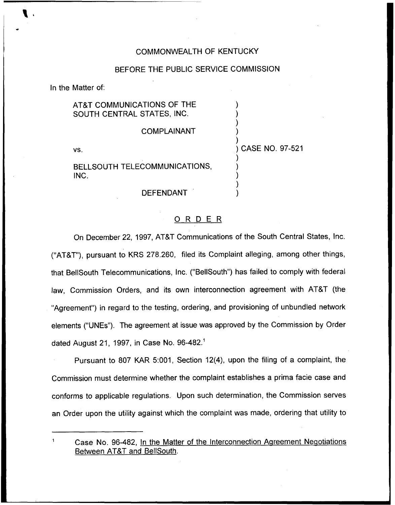# COMMONN/EALTH OF KENTUCKY

### BEFORE THE PUBLIC SERVICE COMMISSION

In the Matter of:

#### AT&T COMMUNICATIONS OF THE ) SOUTH CENTRAL STATES, INC. ) ) COMPLAINANT ) ) ) CASE NO. 97-521 VS. ) BELLSOUTH TELECOMMUNICATIONS, ) INC. ) )

# DEFENDANT

# 0 <sup>R</sup> <sup>D</sup> <sup>E</sup> <sup>R</sup>

)

On December 22, 1997, AT&T Communications of the South Central States, Inc. ("AT8T"), pursuant to KRS 278.260, filed its Complaint alleging, among other things, that BellSouth Telecommunications, Inc. ("BellSouth") has failed to comply with federal law, Commission Orders, and its own interconnection agreement with AT&T (the "Agreement") in regard to the testing, ordering, and provisioning of unbundled networ elements ("UNEs"). The agreement at issue was approved by the Commission by Order dated August 21, 1997, in Case No.

Pursuant to 807 KAR 5:001, Section 12(4), upon the filing of a complaint, the Commission must determine whether the complaint establishes a prima facie case and conforms to applicable regulations. Upon such determination, the Commission serves an Order upon the utility against which the complaint was made, ordering that utility to

 $\mathbf{1}$ Case No. 96-482, In the Matter of the Interconnection Agreement Negotiations Between ATBT and BellSouth.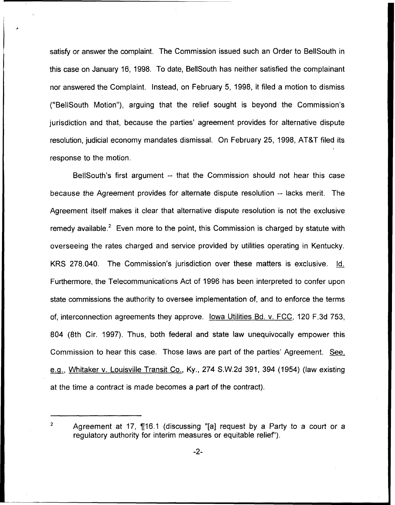satisfy or answer the complaint. The Commission issued such an Order to BeIISouth in this case on January 16, 1998. To date, BellSouth has neither satisfied the complainant nor answered the Complaint. Instead, on February 5, 1998, it filed a motion to dismiss ("BellSouth Motion"), arguing that the relief sought is beyond the Commission's jurisdiction and that, because the parties' agreement provides for alternative dispute resolution, judicial economy mandates dismissal. On February 25, 1998, AT8T filed its response to the motion.

BellSouth's first argument — that the Commission should not hear this case because the Agreement provides for alternate dispute resolution —lacks merit. The Agreement itself makes it clear that alternative dispute resolution is not the exclusive remedy available.<sup>2</sup> Even more to the point, this Commission is charged by statute with overseeing the rates charged and service provided by utilities operating in Kentucky. KRS 278.040. The Commission's jurisdiction over these matters is exclusive. Id. Furthermore, the Telecommunications Act of 1996 has been interpreted to confer upon state commissions the authority to oversee implementation of, and to enforce the terms of, interconnection agreements they approve. Iowa Utilities Bd. v. FCC, 120 F.3d 753, 804 (8th Cir. 1997). Thus, both federal and state law unequivocally empower this Commission to hear this case. Those laws are part of the parties' Agreement. See, e.g., Whitaker v. Louisville Transit Co., Ky., 274 S.W.2d 391, 394 (1954) (law existing at the time a contract is made becomes a part of the contract).

 $\overline{2}$ 

Agreement at 17,  $\P$ 16.1 (discussing "[a] request by a Party to a court or a regulatory authority for interim measures or equitable relief").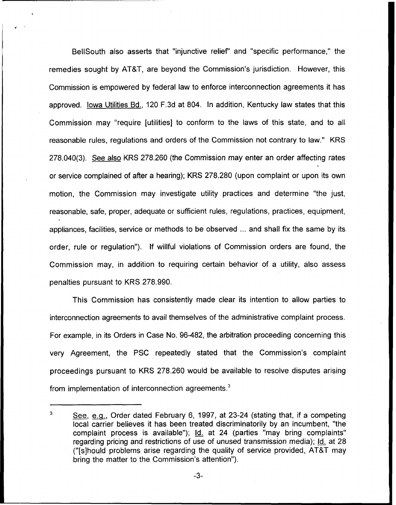BellSouth also asserts that "injunctive relief" and "specific performance," the remedies sought by AT&T, are beyond the Commission's jurisdiction. However, this Commission is empowered by federal law to enforce interconnection agreements it has approved. lowa Utilities Bd., 120 F.3d at 804. In addition, Kentucky law states that this Commission may "require [utilities] to conform to the laws of this state, and to all reasonable rules, regulations and orders of the Commission not contrary to law." KRS 278.040(3). See also KRS 278.260 (the Commission may enter an order affecting rates or service complained of after a hearing); KRS 278.280 (upon complaint or upon its own motion, the Commission may investigate utility practices and determine "the just, reasonable, safe, proper, adequate or sufficient rules, regulations, practices, equipment, appliances, facilities, service or methods to be observed ... and shall fix the same by its order, rule or regulation"). If willful violations of Commission orders are found, the Commission may, in addition to requiring certain behavior of a utility, also assess penalties pursuant to KRS 278.990.

This Commission has consistently made clear its intention to allow parties to interconnection agreements to avail themselves of the administrative complaint process. For example, in its Orders in Case No. 96-482, the arbitration proceeding concerning this very Agreement, the PSC repeatedly stated that the Commission's complaint proceedings pursuant to KRS 278.260 would be available to resolve disputes arising from implementation of interconnection agreements.<sup>3</sup>

<sup>3</sup> See, e.g., Order dated February 6, 1997, at 23-24 (stating that, if a competing local carrier believes it has been treated discriminatorily by an incumbent, "the complaint process is available"); Id. at 24 (parties "may bring complaints" regarding pricing and restrictions of use of unused transmission media); Id. at 28 ("[s]hould problems arise regarding the quality of service provided, AT8T may bring the matter to the Commission's attention").